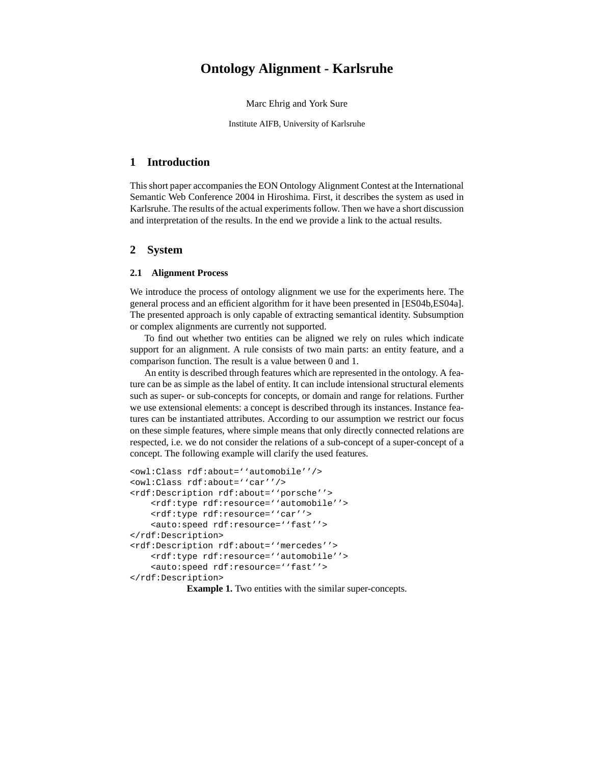# **Ontology Alignment - Karlsruhe**

Marc Ehrig and York Sure

Institute AIFB, University of Karlsruhe

## **1 Introduction**

This short paper accompanies the EON Ontology Alignment Contest at the International Semantic Web Conference 2004 in Hiroshima. First, it describes the system as used in Karlsruhe. The results of the actual experiments follow. Then we have a short discussion and interpretation of the results. In the end we provide a link to the actual results.

## **2 System**

### **2.1 Alignment Process**

We introduce the process of ontology alignment we use for the experiments here. The general process and an efficient algorithm for it have been presented in [ES04b,ES04a]. The presented approach is only capable of extracting semantical identity. Subsumption or complex alignments are currently not supported.

To find out whether two entities can be aligned we rely on rules which indicate support for an alignment. A rule consists of two main parts: an entity feature, and a comparison function. The result is a value between 0 and 1.

An entity is described through features which are represented in the ontology. A feature can be as simple as the label of entity. It can include intensional structural elements such as super- or sub-concepts for concepts, or domain and range for relations. Further we use extensional elements: a concept is described through its instances. Instance features can be instantiated attributes. According to our assumption we restrict our focus on these simple features, where simple means that only directly connected relations are respected, i.e. we do not consider the relations of a sub-concept of a super-concept of a concept. The following example will clarify the used features.

```
<owl:Class rdf:about=''automobile''/>
<owl:Class rdf:about=''car''/>
<rdf:Description rdf:about=''porsche''>
    <rdf:type rdf:resource=''automobile''>
    <rdf:type rdf:resource=''car''>
    <auto:speed rdf:resource=''fast''>
</rdf:Description>
<rdf:Description rdf:about=''mercedes''>
    <rdf:type rdf:resource=''automobile''>
    <auto:speed rdf:resource=''fast''>
</rdf:Description>
```
**Example 1.** Two entities with the similar super-concepts.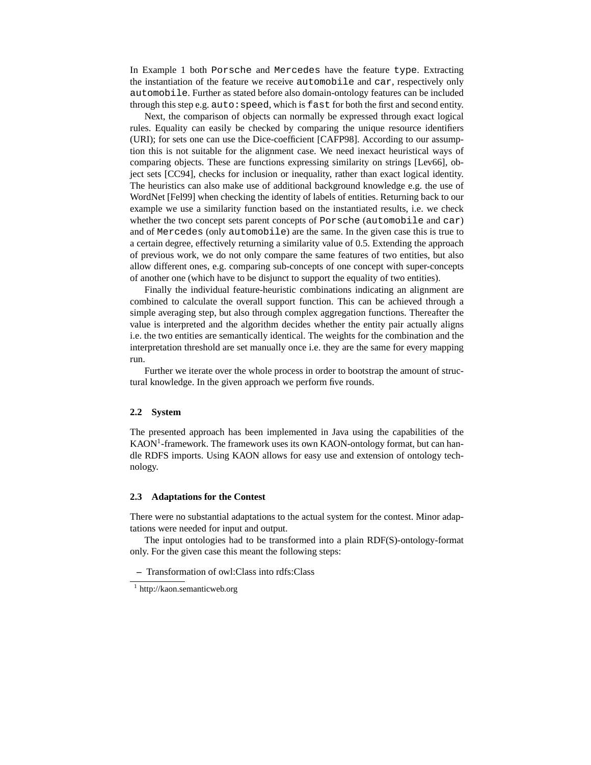In Example 1 both Porsche and Mercedes have the feature type. Extracting the instantiation of the feature we receive automobile and car, respectively only automobile. Further as stated before also domain-ontology features can be included through this step e.g. auto: speed, which is fast for both the first and second entity.

Next, the comparison of objects can normally be expressed through exact logical rules. Equality can easily be checked by comparing the unique resource identifiers (URI); for sets one can use the Dice-coefficient [CAFP98]. According to our assumption this is not suitable for the alignment case. We need inexact heuristical ways of comparing objects. These are functions expressing similarity on strings [Lev66], object sets [CC94], checks for inclusion or inequality, rather than exact logical identity. The heuristics can also make use of additional background knowledge e.g. the use of WordNet [Fel99] when checking the identity of labels of entities. Returning back to our example we use a similarity function based on the instantiated results, i.e. we check whether the two concept sets parent concepts of Porsche (automobile and car) and of Mercedes (only automobile) are the same. In the given case this is true to a certain degree, effectively returning a similarity value of 0.5. Extending the approach of previous work, we do not only compare the same features of two entities, but also allow different ones, e.g. comparing sub-concepts of one concept with super-concepts of another one (which have to be disjunct to support the equality of two entities).

Finally the individual feature-heuristic combinations indicating an alignment are combined to calculate the overall support function. This can be achieved through a simple averaging step, but also through complex aggregation functions. Thereafter the value is interpreted and the algorithm decides whether the entity pair actually aligns i.e. the two entities are semantically identical. The weights for the combination and the interpretation threshold are set manually once i.e. they are the same for every mapping run.

Further we iterate over the whole process in order to bootstrap the amount of structural knowledge. In the given approach we perform five rounds.

### **2.2 System**

The presented approach has been implemented in Java using the capabilities of the KAON<sup>1</sup>-framework. The framework uses its own KAON-ontology format, but can handle RDFS imports. Using KAON allows for easy use and extension of ontology technology.

#### **2.3 Adaptations for the Contest**

There were no substantial adaptations to the actual system for the contest. Minor adaptations were needed for input and output.

The input ontologies had to be transformed into a plain RDF(S)-ontology-format only. For the given case this meant the following steps:

**–** Transformation of owl:Class into rdfs:Class

<sup>1</sup> http://kaon.semanticweb.org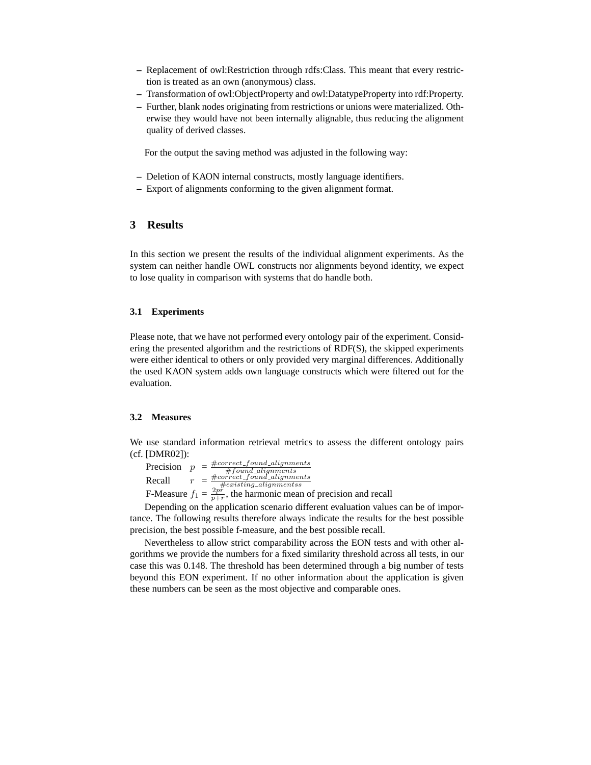- **–** Replacement of owl:Restriction through rdfs:Class. This meant that every restriction is treated as an own (anonymous) class.
- **–** Transformation of owl:ObjectProperty and owl:DatatypeProperty into rdf:Property.
- **–** Further, blank nodes originating from restrictions or unions were materialized. Otherwise they would have not been internally alignable, thus reducing the alignment quality of derived classes.

For the output the saving method was adjusted in the following way:

- **–** Deletion of KAON internal constructs, mostly language identifiers.
- **–** Export of alignments conforming to the given alignment format.

# **3 Results**

In this section we present the results of the individual alignment experiments. As the system can neither handle OWL constructs nor alignments beyond identity, we expect to lose quality in comparison with systems that do handle both.

## **3.1 Experiments**

Please note, that we have not performed every ontology pair of the experiment. Considering the presented algorithm and the restrictions of RDF(S), the skipped experiments were either identical to others or only provided very marginal differences. Additionally the used KAON system adds own language constructs which were filtered out for the evaluation.

#### **3.2 Measures**

We use standard information retrieval metrics to assess the different ontology pairs (cf. [DMR02]):

| Precision | $\boldsymbol{\eta}$ | $\#correct\_found\_alignments$<br>$#found\_alignments$      |  |
|-----------|---------------------|-------------------------------------------------------------|--|
| Recall    |                     | $\#correct\_found\_alignments$<br>$\#existing\_alignmentss$ |  |
|           |                     |                                                             |  |

F-Measure  $f_1 = \frac{2p^2}{p+r}$ , the harmonic mean of precision and recall

Depending on the application scenario different evaluation values can be of importance. The following results therefore always indicate the results for the best possible precision, the best possible f-measure, and the best possible recall.

Nevertheless to allow strict comparability across the EON tests and with other algorithms we provide the numbers for a fixed similarity threshold across all tests, in our case this was 0.148. The threshold has been determined through a big number of tests beyond this EON experiment. If no other information about the application is given these numbers can be seen as the most objective and comparable ones.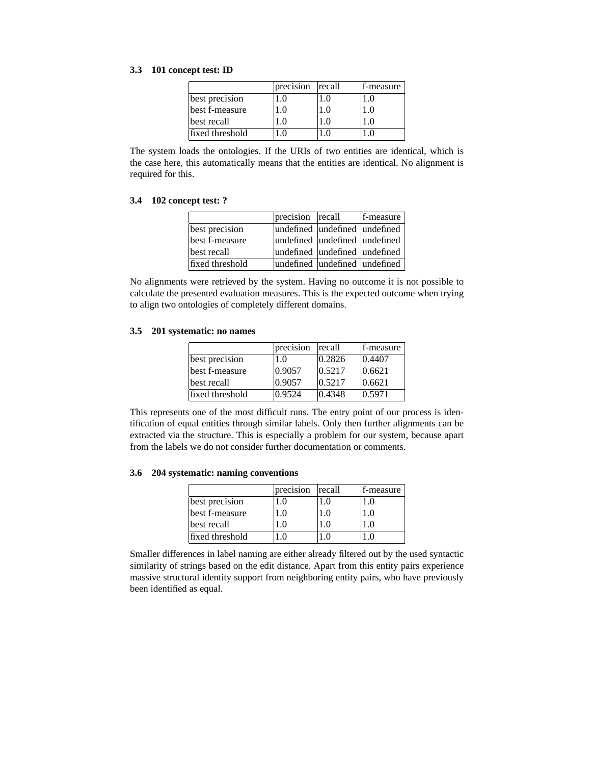## **3.3 101 concept test: ID**

|                 | precision | recall | f-measure |
|-----------------|-----------|--------|-----------|
| best precision  |           | 0.،    |           |
| best f-measure  | (). ا     | LO     |           |
| best recall     |           | -0     |           |
| fixed threshold |           |        |           |

The system loads the ontologies. If the URIs of two entities are identical, which is the case here, this automatically means that the entities are identical. No alignment is required for this.

## **3.4 102 concept test: ?**

|                 | precision recall              | f-measure |
|-----------------|-------------------------------|-----------|
| best precision  | undefined undefined undefined |           |
| best f-measure  | undefined undefined undefined |           |
| best recall     | undefined undefined undefined |           |
| fixed threshold | undefined undefined undefined |           |

No alignments were retrieved by the system. Having no outcome it is not possible to calculate the presented evaluation measures. This is the expected outcome when trying to align two ontologies of completely different domains.

#### **3.5 201 systematic: no names**

|                 | precision | recall | f-measure |
|-----------------|-----------|--------|-----------|
| best precision  | 1.0       | 0.2826 | 0.4407    |
| best f-measure  | 0.9057    | 0.5217 | 0.6621    |
| best recall     | 0.9057    | 0.5217 | 0.6621    |
| fixed threshold | 0.9524    | 0.4348 | 0.5971    |

This represents one of the most difficult runs. The entry point of our process is identification of equal entities through similar labels. Only then further alignments can be extracted via the structure. This is especially a problem for our system, because apart from the labels we do not consider further documentation or comments.

## **3.6 204 systematic: naming conventions**

|                 | precision | recall           | f-measure |
|-----------------|-----------|------------------|-----------|
| best precision  | $\Omega$  |                  |           |
| best f-measure  | . 0       | $^{\prime}$ . () | LO.       |
| best recall     |           | .0               |           |
| fixed threshold |           |                  |           |

Smaller differences in label naming are either already filtered out by the used syntactic similarity of strings based on the edit distance. Apart from this entity pairs experience massive structural identity support from neighboring entity pairs, who have previously been identified as equal.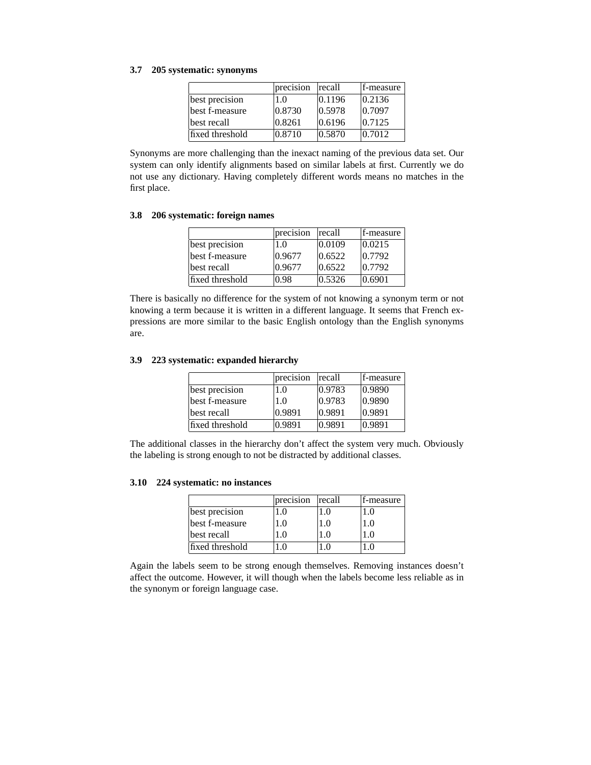## **3.7 205 systematic: synonyms**

|                 | precision | recall           | f-measure |
|-----------------|-----------|------------------|-----------|
| best precision  | 1.0       | 0.1196           | 0.2136    |
| best f-measure  | 0.8730    | 0.5978           | 0.7097    |
| best recall     | 0.8261    | 0.6196           | 0.7125    |
| fixed threshold | 0.8710    | $ 0.5870\rangle$ | 10.7012   |

Synonyms are more challenging than the inexact naming of the previous data set. Our system can only identify alignments based on similar labels at first. Currently we do not use any dictionary. Having completely different words means no matches in the first place.

## **3.8 206 systematic: foreign names**

|                 | precision | recall           | f-measure |
|-----------------|-----------|------------------|-----------|
| best precision  | 1.0       | $ 0.0109\rangle$ | 0.0215    |
| best f-measure  | 0.9677    | $ 0.6522\rangle$ | 0.7792    |
| best recall     | 0.9677    | 0.6522           | 0.7792    |
| fixed threshold | 0.98      | 0.5326           | 0.6901    |

There is basically no difference for the system of not knowing a synonym term or not knowing a term because it is written in a different language. It seems that French expressions are more similar to the basic English ontology than the English synonyms are.

## **3.9 223 systematic: expanded hierarchy**

|                 | precision | recall | f-measure        |
|-----------------|-----------|--------|------------------|
| best precision  | 1.0       | 0.9783 | $ 0.9890\rangle$ |
| best f-measure  | 1.0       | 0.9783 | 0.9890           |
| best recall     | 0.9891    | 0.9891 | 0.9891           |
| fixed threshold | 0.9891    | 0.9891 | 0.9891           |

The additional classes in the hierarchy don't affect the system very much. Obviously the labeling is strong enough to not be distracted by additional classes.

## **3.10 224 systematic: no instances**

|                 | precision | recall   | f-measure |
|-----------------|-----------|----------|-----------|
| best precision  | . 0       | $\Omega$ | . .0      |
| best f-measure  | LO.       | . 0      | Lθ        |
| best recall     | $\Omega$  |          |           |
| fixed threshold |           |          |           |

Again the labels seem to be strong enough themselves. Removing instances doesn't affect the outcome. However, it will though when the labels become less reliable as in the synonym or foreign language case.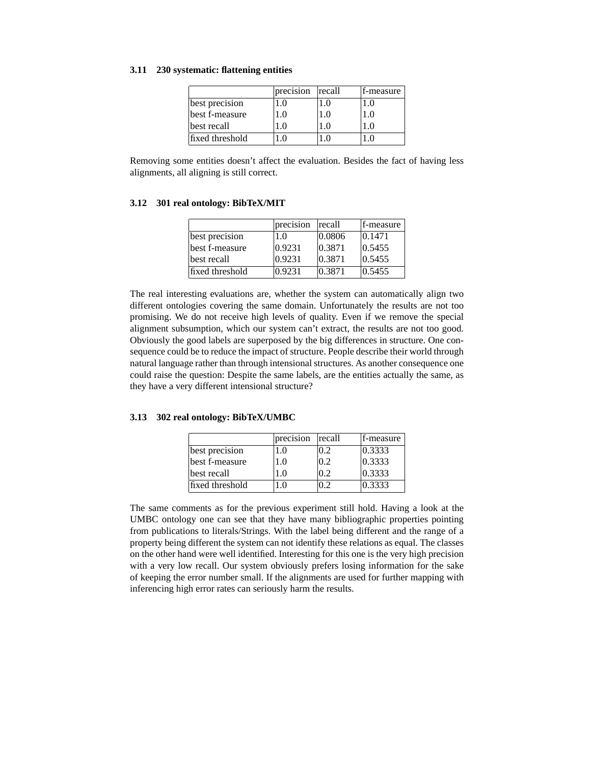### **3.11 230 systematic: flattening entities**

|                 | precision | recall           | f-measure |
|-----------------|-----------|------------------|-----------|
| best precision  |           | $\Omega$         |           |
| best f-measure  | 1.0       | $\Omega_{\rm H}$ | 1.O       |
| best recall     |           | .0               |           |
| fixed threshold |           |                  |           |

Removing some entities doesn't affect the evaluation. Besides the fact of having less alignments, all aligning is still correct.

### **3.12 301 real ontology: BibTeX/MIT**

|                 | precision | recall | f-measure |
|-----------------|-----------|--------|-----------|
| best precision  | 1.0       | 0.0806 | 0.1471    |
| best f-measure  | 0.9231    | 0.3871 | 0.5455    |
| best recall     | 0.9231    | 0.3871 | 0.5455    |
| fixed threshold | 0.9231    | 0.3871 | 0.5455    |

The real interesting evaluations are, whether the system can automatically align two different ontologies covering the same domain. Unfortunately the results are not too promising. We do not receive high levels of quality. Even if we remove the special alignment subsumption, which our system can't extract, the results are not too good. Obviously the good labels are superposed by the big differences in structure. One consequence could be to reduce the impact of structure. People describe their world through natural language rather than through intensional structures. As another consequence one could raise the question: Despite the same labels, are the entities actually the same, as they have a very different intensional structure?

## **3.13 302 real ontology: BibTeX/UMBC**

|                 | precision | recall | f-measure |
|-----------------|-----------|--------|-----------|
| best precision  | 0.1       | 0.2    | 0.3333    |
| best f-measure  | 1.0       | 0.2    | 0.3333    |
| best recall     | $\Omega$  | ი 2    | 0.3333    |
| fixed threshold | $\Omega$  |        | 0.3333    |

The same comments as for the previous experiment still hold. Having a look at the UMBC ontology one can see that they have many bibliographic properties pointing from publications to literals/Strings. With the label being different and the range of a property being different the system can not identify these relations as equal. The classes on the other hand were well identified. Interesting for this one is the very high precision with a very low recall. Our system obviously prefers losing information for the sake of keeping the error number small. If the alignments are used for further mapping with inferencing high error rates can seriously harm the results.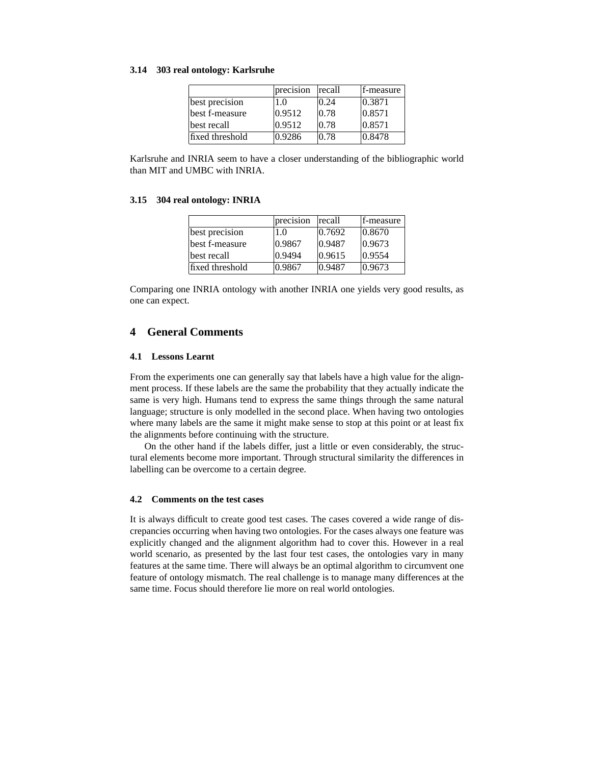### **3.14 303 real ontology: Karlsruhe**

|                 | precision | recall | f-measure |
|-----------------|-----------|--------|-----------|
| best precision  | 1.0       | 0.24   | 0.3871    |
| best f-measure  | 0.9512    | 0.78   | 0.8571    |
| best recall     | 0.9512    | 0.78   | 0.8571    |
| fixed threshold | 0.9286    | 0.78   | 0.8478    |

Karlsruhe and INRIA seem to have a closer understanding of the bibliographic world than MIT and UMBC with INRIA.

#### **3.15 304 real ontology: INRIA**

|                 | precision | recall | f-measure        |
|-----------------|-----------|--------|------------------|
| best precision  | 1.0       | 0.7692 | $ 0.8670\rangle$ |
| best f-measure  | 0.9867    | 0.9487 | $ 0.9673\rangle$ |
| best recall     | 0.9494    | 0.9615 | 0.9554           |
| fixed threshold | 0.9867    | 0.9487 | $ 0.9673\rangle$ |

Comparing one INRIA ontology with another INRIA one yields very good results, as one can expect.

# **4 General Comments**

### **4.1 Lessons Learnt**

From the experiments one can generally say that labels have a high value for the alignment process. If these labels are the same the probability that they actually indicate the same is very high. Humans tend to express the same things through the same natural language; structure is only modelled in the second place. When having two ontologies where many labels are the same it might make sense to stop at this point or at least fix the alignments before continuing with the structure.

On the other hand if the labels differ, just a little or even considerably, the structural elements become more important. Through structural similarity the differences in labelling can be overcome to a certain degree.

### **4.2 Comments on the test cases**

It is always difficult to create good test cases. The cases covered a wide range of discrepancies occurring when having two ontologies. For the cases always one feature was explicitly changed and the alignment algorithm had to cover this. However in a real world scenario, as presented by the last four test cases, the ontologies vary in many features at the same time. There will always be an optimal algorithm to circumvent one feature of ontology mismatch. The real challenge is to manage many differences at the same time. Focus should therefore lie more on real world ontologies.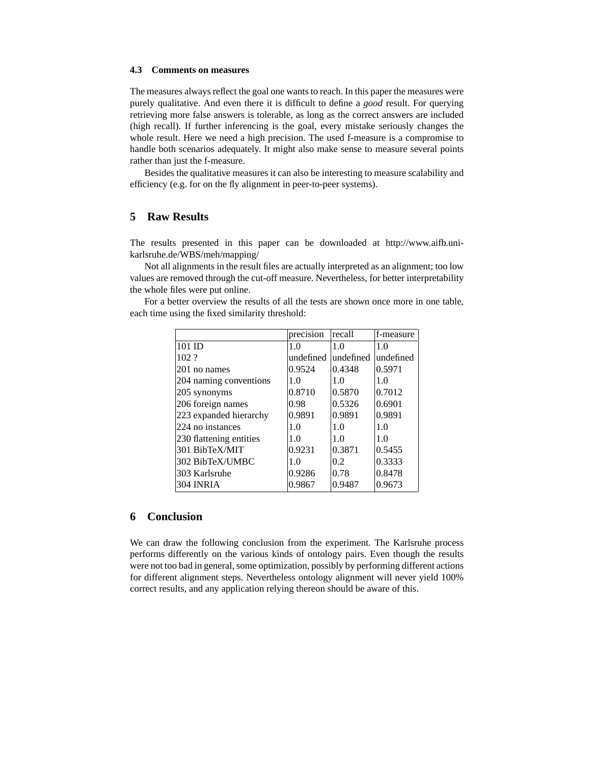## **4.3 Comments on measures**

The measures always reflect the goal one wants to reach. In this paper the measures were purely qualitative. And even there it is difficult to define a *good* result. For querying retrieving more false answers is tolerable, as long as the correct answers are included (high recall). If further inferencing is the goal, every mistake seriously changes the whole result. Here we need a high precision. The used f-measure is a compromise to handle both scenarios adequately. It might also make sense to measure several points rather than just the f-measure.

Besides the qualitative measures it can also be interesting to measure scalability and efficiency (e.g. for on the fly alignment in peer-to-peer systems).

# **5 Raw Results**

The results presented in this paper can be downloaded at http://www.aifb.unikarlsruhe.de/WBS/meh/mapping/

Not all alignments in the result files are actually interpreted as an alignment; too low values are removed through the cut-off measure. Nevertheless, for better interpretability the whole files were put online.

For a better overview the results of all the tests are shown once more in one table,

each time using the fixed similarity threshold:

|                         | precision | recall    | f-measure |
|-------------------------|-----------|-----------|-----------|
| 101 ID                  | 1.0       | 1.0       | 1.0       |
| 102.2                   | undefined | undefined | undefined |
| 201 no names            | 0.9524    | 0.4348    | 0.5971    |
| 204 naming conventions  | 1.0       | 1.0       | 1.0       |
| 205 synonyms            | 0.8710    | 0.5870    | 0.7012    |
| 206 foreign names       | 0.98      | 0.5326    | 0.6901    |
| 223 expanded hierarchy  | 0.9891    | 0.9891    | 0.9891    |
| 224 no instances        | 1.0       | 1.0       | 1.0       |
| 230 flattening entities | 1.0       | 1.0       | 1.0       |
| 301 BibTeX/MIT          | 0.9231    | 0.3871    | 0.5455    |
| 302 BibTeX/UMBC         | 1.0       | 0.2       | 0.3333    |
| 303 Karlsruhe           | 0.9286    | 0.78      | 0.8478    |
| 304 INRIA               | 0.9867    | 0.9487    | 0.9673    |

# **6 Conclusion**

We can draw the following conclusion from the experiment. The Karlsruhe process performs differently on the various kinds of ontology pairs. Even though the results were not too bad in general, some optimization, possibly by performing different actions for different alignment steps. Nevertheless ontology alignment will never yield 100% correct results, and any application relying thereon should be aware of this.